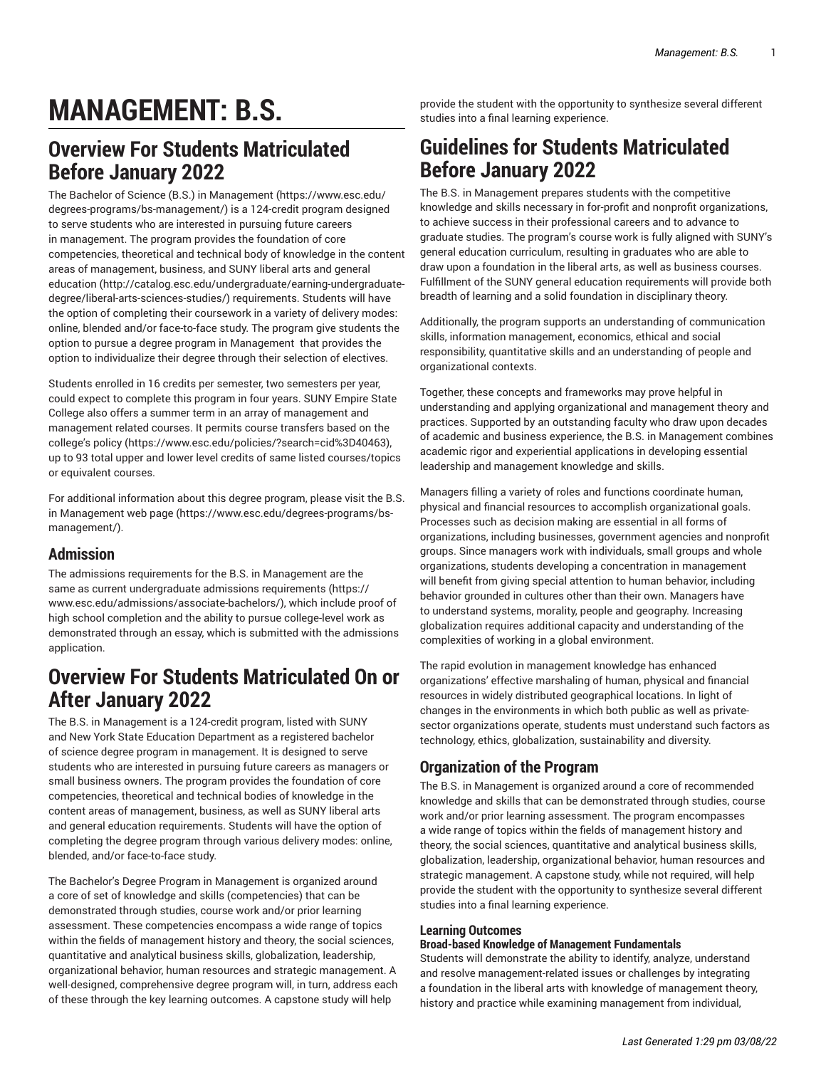# **MANAGEMENT: B.S.**

# **Overview For Students Matriculated Before January 2022**

The [Bachelor of Science \(B.S.\) in Management \(https://www.esc.edu/](https://www.esc.edu/degrees-programs/bs-management/) [degrees-programs/bs-management/\)](https://www.esc.edu/degrees-programs/bs-management/) is a 124-credit program designed to serve students who are interested in pursuing future careers in management. The program provides the foundation of core competencies, theoretical and technical body of knowledge in the content areas of management, business, and SUNY liberal arts and [general](http://catalog.esc.edu/undergraduate/earning-undergraduate-degree/liberal-arts-sciences-studies/) [education \(http://catalog.esc.edu/undergraduate/earning-undergraduate](http://catalog.esc.edu/undergraduate/earning-undergraduate-degree/liberal-arts-sciences-studies/)[degree/liberal-arts-sciences-studies/\)](http://catalog.esc.edu/undergraduate/earning-undergraduate-degree/liberal-arts-sciences-studies/) requirements. Students will have the option of completing their coursework in a variety of delivery modes: online, blended and/or face-to-face study. The program give students the option to pursue a degree program in Management that provides the option to individualize their degree through their selection of electives.

Students enrolled in 16 credits per semester, two semesters per year, could expect to complete this program in four years. SUNY Empire State College also offers a summer term in an array of management and management related courses. It permits course transfers based on the [college's](https://www.esc.edu/policies/?search=cid%3D40463) policy [\(https://www.esc.edu/policies/?search=cid%3D40463](https://www.esc.edu/policies/?search=cid%3D40463)), up to 93 total upper and lower level credits of same listed courses/topics or equivalent courses.

For additional information about this degree program, please visit the [B.S.](https://www.esc.edu/degrees-programs/bs-management/) [in Management web page \(https://www.esc.edu/degrees-programs/bs](https://www.esc.edu/degrees-programs/bs-management/)[management/\)](https://www.esc.edu/degrees-programs/bs-management/).

### **Admission**

The admissions requirements for the B.S. in Management are the same as current [undergraduate](https://www.esc.edu/admissions/associate-bachelors/) admissions requirements [\(https://](https://www.esc.edu/admissions/associate-bachelors/) [www.esc.edu/admissions/associate-bachelors/\)](https://www.esc.edu/admissions/associate-bachelors/), which include proof of high school completion and the ability to pursue college-level work as demonstrated through an essay, which is submitted with the admissions application.

# **Overview For Students Matriculated On or After January 2022**

The B.S. in Management is a 124-credit program, listed with SUNY and New York State Education Department as a registered bachelor of science degree program in management. It is designed to serve students who are interested in pursuing future careers as managers or small business owners. The program provides the foundation of core competencies, theoretical and technical bodies of knowledge in the content areas of management, business, as well as SUNY liberal arts and general education requirements. Students will have the option of completing the degree program through various delivery modes: online, blended, and/or face-to-face study.

The Bachelor's Degree Program in Management is organized around a core of set of knowledge and skills (competencies) that can be demonstrated through studies, course work and/or prior learning assessment. These competencies encompass a wide range of topics within the fields of management history and theory, the social sciences, quantitative and analytical business skills, globalization, leadership, organizational behavior, human resources and strategic management. A well-designed, comprehensive degree program will, in turn, address each of these through the key learning outcomes. A capstone study will help

provide the student with the opportunity to synthesize several different studies into a final learning experience.

# **Guidelines for Students Matriculated Before January 2022**

The B.S. in Management prepares students with the competitive knowledge and skills necessary in for-profit and nonprofit organizations, to achieve success in their professional careers and to advance to graduate studies. The program's course work is fully aligned with SUNY's general education curriculum, resulting in graduates who are able to draw upon a foundation in the liberal arts, as well as business courses. Fulfillment of the SUNY general education requirements will provide both breadth of learning and a solid foundation in disciplinary theory.

Additionally, the program supports an understanding of communication skills, information management, economics, ethical and social responsibility, quantitative skills and an understanding of people and organizational contexts.

Together, these concepts and frameworks may prove helpful in understanding and applying organizational and management theory and practices. Supported by an outstanding faculty who draw upon decades of academic and business experience, the B.S. in Management combines academic rigor and experiential applications in developing essential leadership and management knowledge and skills.

Managers filling a variety of roles and functions coordinate human, physical and financial resources to accomplish organizational goals. Processes such as decision making are essential in all forms of organizations, including businesses, government agencies and nonprofit groups. Since managers work with individuals, small groups and whole organizations, students developing a concentration in management will benefit from giving special attention to human behavior, including behavior grounded in cultures other than their own. Managers have to understand systems, morality, people and geography. Increasing globalization requires additional capacity and understanding of the complexities of working in a global environment.

The rapid evolution in management knowledge has enhanced organizations' effective marshaling of human, physical and financial resources in widely distributed geographical locations. In light of changes in the environments in which both public as well as privatesector organizations operate, students must understand such factors as technology, ethics, globalization, sustainability and diversity.

### **Organization of the Program**

The B.S. in Management is organized around a core of recommended knowledge and skills that can be demonstrated through studies, course work and/or prior learning assessment. The program encompasses a wide range of topics within the fields of management history and theory, the social sciences, quantitative and analytical business skills, globalization, leadership, organizational behavior, human resources and strategic management. A capstone study, while not required, will help provide the student with the opportunity to synthesize several different studies into a final learning experience.

#### **Learning Outcomes**

#### **Broad-based Knowledge of Management Fundamentals**

Students will demonstrate the ability to identify, analyze, understand and resolve management-related issues or challenges by integrating a foundation in the liberal arts with knowledge of management theory, history and practice while examining management from individual,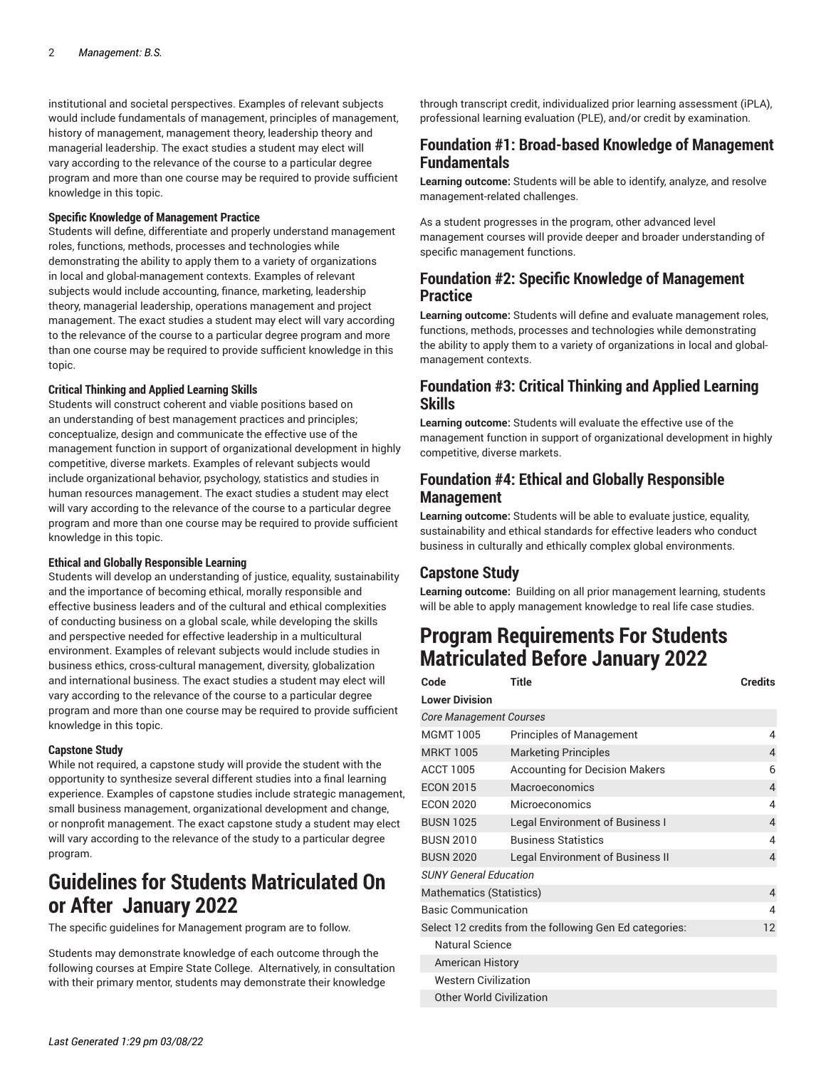institutional and societal perspectives. Examples of relevant subjects would include fundamentals of management, principles of management, history of management, management theory, leadership theory and managerial leadership. The exact studies a student may elect will vary according to the relevance of the course to a particular degree program and more than one course may be required to provide sufficient knowledge in this topic.

#### **Specific Knowledge of Management Practice**

Students will define, differentiate and properly understand management roles, functions, methods, processes and technologies while demonstrating the ability to apply them to a variety of organizations in local and global-management contexts. Examples of relevant subjects would include accounting, finance, marketing, leadership theory, managerial leadership, operations management and project management. The exact studies a student may elect will vary according to the relevance of the course to a particular degree program and more than one course may be required to provide sufficient knowledge in this topic.

#### **Critical Thinking and Applied Learning Skills**

Students will construct coherent and viable positions based on an understanding of best management practices and principles; conceptualize, design and communicate the effective use of the management function in support of organizational development in highly competitive, diverse markets. Examples of relevant subjects would include organizational behavior, psychology, statistics and studies in human resources management. The exact studies a student may elect will vary according to the relevance of the course to a particular degree program and more than one course may be required to provide sufficient knowledge in this topic.

#### **Ethical and Globally Responsible Learning**

Students will develop an understanding of justice, equality, sustainability and the importance of becoming ethical, morally responsible and effective business leaders and of the cultural and ethical complexities of conducting business on a global scale, while developing the skills and perspective needed for effective leadership in a multicultural environment. Examples of relevant subjects would include studies in business ethics, cross-cultural management, diversity, globalization and international business. The exact studies a student may elect will vary according to the relevance of the course to a particular degree program and more than one course may be required to provide sufficient knowledge in this topic.

#### **Capstone Study**

While not required, a capstone study will provide the student with the opportunity to synthesize several different studies into a final learning experience. Examples of capstone studies include strategic management, small business management, organizational development and change, or nonprofit management. The exact capstone study a student may elect will vary according to the relevance of the study to a particular degree program.

# **Guidelines for Students Matriculated On or After January 2022**

The specific guidelines for Management program are to follow.

Students may demonstrate knowledge of each outcome through the following courses at Empire State College. Alternatively, in consultation with their primary mentor, students may demonstrate their knowledge

through transcript credit, individualized prior learning assessment (iPLA), professional learning evaluation (PLE), and/or credit by examination.

#### **Foundation #1: Broad-based Knowledge of Management Fundamentals**

**Learning outcome:** Students will be able to identify, analyze, and resolve management-related challenges.

As a student progresses in the program, other advanced level management courses will provide deeper and broader understanding of specific management functions.

#### **Foundation #2: Specific Knowledge of Management Practice**

**Learning outcome:** Students will define and evaluate management roles, functions, methods, processes and technologies while demonstrating the ability to apply them to a variety of organizations in local and globalmanagement contexts.

#### **Foundation #3: Critical Thinking and Applied Learning Skills**

**Learning outcome:** Students will evaluate the effective use of the management function in support of organizational development in highly competitive, diverse markets.

#### **Foundation #4: Ethical and Globally Responsible Management**

**Learning outcome:** Students will be able to evaluate justice, equality, sustainability and ethical standards for effective leaders who conduct business in culturally and ethically complex global environments.

#### **Capstone Study**

**Learning outcome:** Building on all prior management learning, students will be able to apply management knowledge to real life case studies.

### **Program Requirements For Students Matriculated Before January 2022**

| Code                                                    | <b>Title</b>                            | <b>Credits</b> |
|---------------------------------------------------------|-----------------------------------------|----------------|
| <b>Lower Division</b>                                   |                                         |                |
| <b>Core Management Courses</b>                          |                                         |                |
| <b>MGMT 1005</b>                                        | <b>Principles of Management</b>         | 4              |
| <b>MRKT 1005</b>                                        | <b>Marketing Principles</b>             | 4              |
| <b>ACCT 1005</b>                                        | <b>Accounting for Decision Makers</b>   | 6              |
| <b>ECON 2015</b>                                        | Macroeconomics                          | 4              |
| <b>ECON 2020</b>                                        | Microeconomics                          | 4              |
| <b>BUSN 1025</b>                                        | Legal Environment of Business I         | 4              |
| <b>BUSN 2010</b>                                        | <b>Business Statistics</b>              | 4              |
| <b>BUSN 2020</b>                                        | <b>Legal Environment of Business II</b> | 4              |
| <b>SUNY General Education</b>                           |                                         |                |
| Mathematics (Statistics)                                |                                         | $\overline{4}$ |
| <b>Basic Communication</b>                              |                                         | 4              |
| Select 12 credits from the following Gen Ed categories: |                                         | 12             |
| <b>Natural Science</b>                                  |                                         |                |
| <b>American History</b>                                 |                                         |                |
| <b>Western Civilization</b>                             |                                         |                |
| <b>Other World Civilization</b>                         |                                         |                |